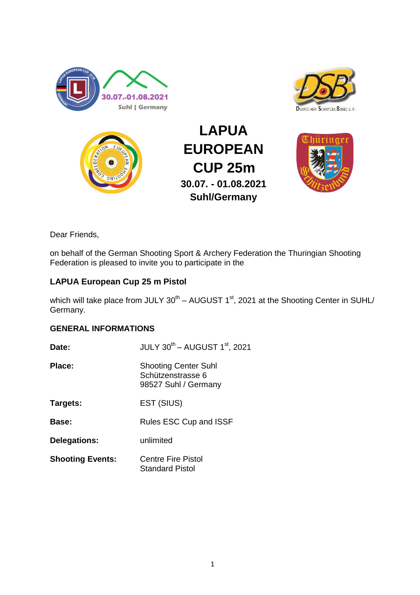





**LAPUA EUROPEAN CUP 25m 30.07. - 01.08.2021 Suhl/Germany**



Dear Friends,

on behalf of the German Shooting Sport & Archery Federation the Thuringian Shooting Federation is pleased to invite you to participate in the

# **LAPUA European Cup 25 m Pistol**

which will take place from JULY  $30^{\text{th}}$  – AUGUST 1<sup>st</sup>, 2021 at the Shooting Center in SUHL/ Germany.

## **GENERAL INFORMATIONS**

| Date:                   | JULY 30 <sup>th</sup> - AUGUST 1 <sup>st</sup> , 2021                    |  |
|-------------------------|--------------------------------------------------------------------------|--|
| Place:                  | <b>Shooting Center Suhl</b><br>Schützenstrasse 6<br>98527 Suhl / Germany |  |
| Targets:                | EST (SIUS)                                                               |  |
| Base:                   | Rules ESC Cup and ISSF                                                   |  |
| <b>Delegations:</b>     | unlimited                                                                |  |
| <b>Shooting Events:</b> | <b>Centre Fire Pistol</b><br><b>Standard Pistol</b>                      |  |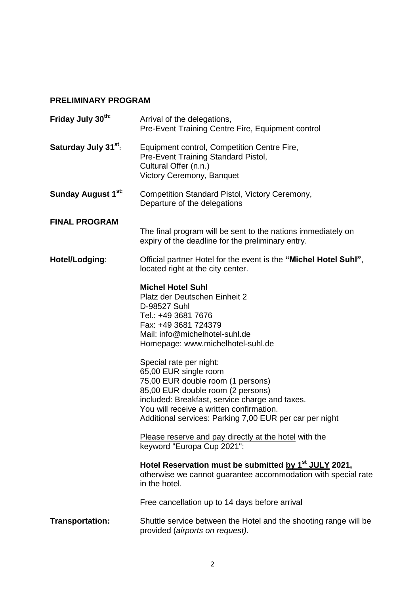## **PRELIMINARY PROGRAM**

| Friday July 30 <sup>th:</sup>    | Arrival of the delegations,<br>Pre-Event Training Centre Fire, Equipment control                                                                                                                                                                                                                                                                                                                                                                                                                                                                |  |
|----------------------------------|-------------------------------------------------------------------------------------------------------------------------------------------------------------------------------------------------------------------------------------------------------------------------------------------------------------------------------------------------------------------------------------------------------------------------------------------------------------------------------------------------------------------------------------------------|--|
| Saturday July 31 <sup>st</sup> : | Equipment control, Competition Centre Fire,<br>Pre-Event Training Standard Pistol,<br>Cultural Offer (n.n.)<br>Victory Ceremony, Banquet                                                                                                                                                                                                                                                                                                                                                                                                        |  |
| Sunday August 1 <sup>st:</sup>   | Competition Standard Pistol, Victory Ceremony,<br>Departure of the delegations                                                                                                                                                                                                                                                                                                                                                                                                                                                                  |  |
| <b>FINAL PROGRAM</b>             | The final program will be sent to the nations immediately on<br>expiry of the deadline for the preliminary entry.                                                                                                                                                                                                                                                                                                                                                                                                                               |  |
| Hotel/Lodging:                   | Official partner Hotel for the event is the "Michel Hotel Suhl",<br>located right at the city center.                                                                                                                                                                                                                                                                                                                                                                                                                                           |  |
|                                  | <b>Michel Hotel Suhl</b><br>Platz der Deutschen Einheit 2<br>D-98527 Suhl<br>Tel.: +49 3681 7676<br>Fax: +49 3681 724379<br>Mail: info@michelhotel-suhl.de<br>Homepage: www.michelhotel-suhl.de<br>Special rate per night:<br>65,00 EUR single room<br>75,00 EUR double room (1 persons)<br>85,00 EUR double room (2 persons)<br>included: Breakfast, service charge and taxes.<br>You will receive a written confirmation.<br>Additional services: Parking 7,00 EUR per car per night<br>Please reserve and pay directly at the hotel with the |  |
|                                  | keyword "Europa Cup 2021":                                                                                                                                                                                                                                                                                                                                                                                                                                                                                                                      |  |
|                                  | Hotel Reservation must be submitted by 1 <sup>st</sup> JULY 2021,<br>otherwise we cannot guarantee accommodation with special rate<br>in the hotel.                                                                                                                                                                                                                                                                                                                                                                                             |  |
|                                  | Free cancellation up to 14 days before arrival                                                                                                                                                                                                                                                                                                                                                                                                                                                                                                  |  |
| <b>Transportation:</b>           | Shuttle service between the Hotel and the shooting range will be<br>provided (airports on request).                                                                                                                                                                                                                                                                                                                                                                                                                                             |  |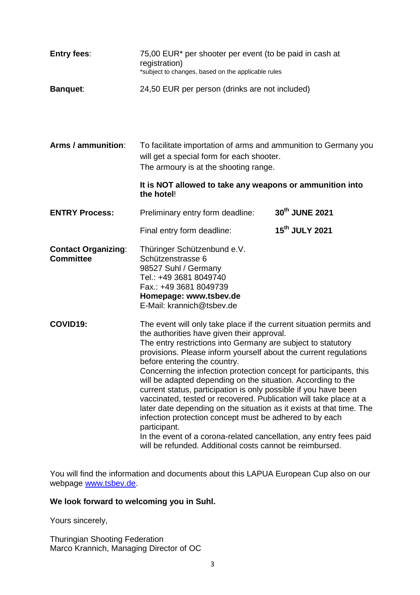| <b>Entry fees:</b>                             | 75,00 EUR* per shooter per event (to be paid in cash at<br>registration)<br>*subject to changes, based on the applicable rules                                                                                                                                                                                                                                                                                                                                                                                                                                                                                                                                                                                                                                                                                                                           |                            |  |
|------------------------------------------------|----------------------------------------------------------------------------------------------------------------------------------------------------------------------------------------------------------------------------------------------------------------------------------------------------------------------------------------------------------------------------------------------------------------------------------------------------------------------------------------------------------------------------------------------------------------------------------------------------------------------------------------------------------------------------------------------------------------------------------------------------------------------------------------------------------------------------------------------------------|----------------------------|--|
| <b>Banquet:</b>                                | 24,50 EUR per person (drinks are not included)                                                                                                                                                                                                                                                                                                                                                                                                                                                                                                                                                                                                                                                                                                                                                                                                           |                            |  |
| Arms / ammunition:                             | To facilitate importation of arms and ammunition to Germany you<br>will get a special form for each shooter.<br>The armoury is at the shooting range.                                                                                                                                                                                                                                                                                                                                                                                                                                                                                                                                                                                                                                                                                                    |                            |  |
|                                                | It is NOT allowed to take any weapons or ammunition into<br>the hotel!                                                                                                                                                                                                                                                                                                                                                                                                                                                                                                                                                                                                                                                                                                                                                                                   |                            |  |
| <b>ENTRY Process:</b>                          | Preliminary entry form deadline:                                                                                                                                                                                                                                                                                                                                                                                                                                                                                                                                                                                                                                                                                                                                                                                                                         | 30th JUNE 2021             |  |
|                                                | Final entry form deadline:                                                                                                                                                                                                                                                                                                                                                                                                                                                                                                                                                                                                                                                                                                                                                                                                                               | 15 <sup>th</sup> JULY 2021 |  |
| <b>Contact Organizing:</b><br><b>Committee</b> | Thüringer Schützenbund e.V.<br>Schützenstrasse 6<br>98527 Suhl / Germany<br>Tel.: +49 3681 8049740<br>Fax.: +49 3681 8049739<br>Homepage: www.tsbev.de<br>E-Mail: krannich@tsbev.de                                                                                                                                                                                                                                                                                                                                                                                                                                                                                                                                                                                                                                                                      |                            |  |
| COVID19:                                       | The event will only take place if the current situation permits and<br>the authorities have given their approval.<br>The entry restrictions into Germany are subject to statutory<br>provisions. Please inform yourself about the current regulations<br>before entering the country.<br>Concerning the infection protection concept for participants, this<br>will be adapted depending on the situation. According to the<br>current status, participation is only possible if you have been<br>vaccinated, tested or recovered. Publication will take place at a<br>later date depending on the situation as it exists at that time. The<br>infection protection concept must be adhered to by each<br>participant.<br>In the event of a corona-related cancellation, any entry fees paid<br>will be refunded. Additional costs cannot be reimbursed. |                            |  |

You will find the information and documents about this LAPUA European Cup also on our webpage [www.tsbev.de.](http://www.tsbev.de/)

## **We look forward to welcoming you in Suhl.**

Yours sincerely,

Thuringian Shooting Federation Marco Krannich, Managing Director of OC